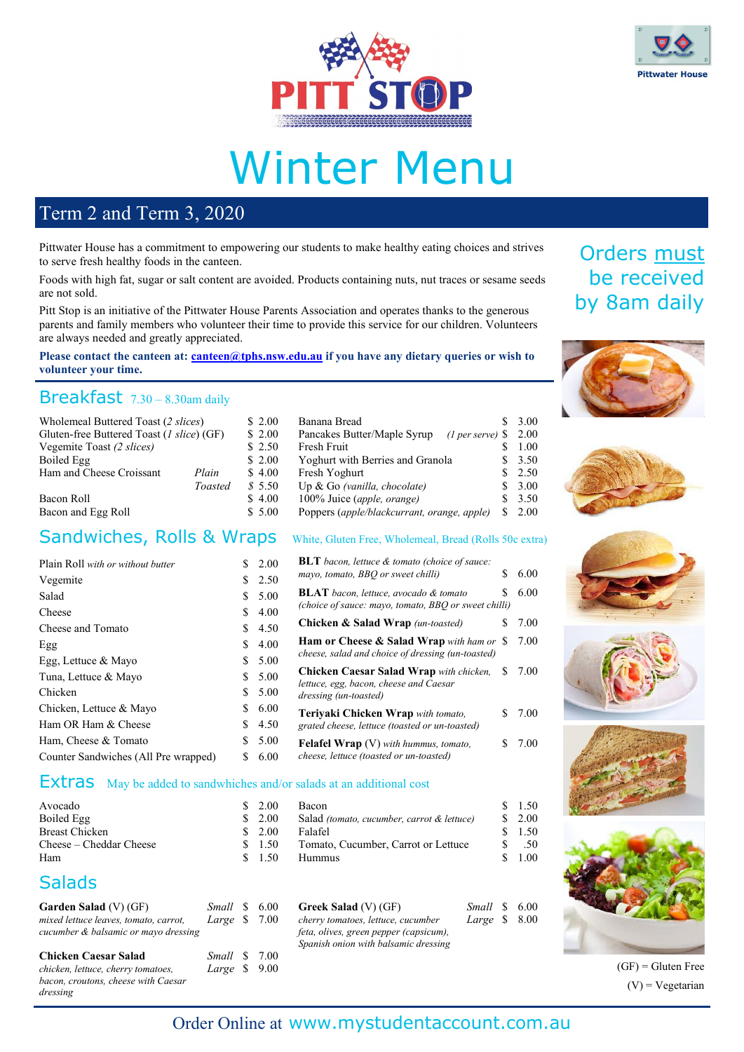



# Winter Menu

#### Term 2 and Term 3, 2020

Pittwater House has a commitment to empowering our students to make healthy eating choices and strives to serve fresh healthy foods in the canteen.

Foods with high fat, sugar or salt content are avoided. Products containing nuts, nut traces or sesame seeds are not sold.

Pitt Stop is an initiative of the Pittwater House Parents Association and operates thanks to the generous parents and family members who volunteer their time to provide this service for our children. Volunteers are always needed and greatly appreciated.

**Please contact the canteen at: [canteen@tphs.nsw.edu.au](mailto:canteen@tphs.nsw.edu.au) if you have any dietary queries or wish to volunteer your time.**

#### Breakfast 7.30 – 8.30am daily

| Wholemeal Buttered Toast (2 slices)       |         | \$2.00 | Banana Bread                                                   | \$3.00            |
|-------------------------------------------|---------|--------|----------------------------------------------------------------|-------------------|
| Gluten-free Buttered Toast (1 slice) (GF) |         | \$2.00 | Pancakes Butter/Maple Syrup<br>$(1 \text{ per serve})$ \$ 2.00 |                   |
| Vegemite Toast (2 slices)                 |         | \$2.50 | Fresh Fruit                                                    | 1.00              |
| Boiled Egg                                |         | \$2.00 | Yoghurt with Berries and Granola                               | \$3.50            |
| Ham and Cheese Croissant                  | Plain   | \$4.00 | Fresh Yoghurt                                                  | $\frac{\$}{2.50}$ |
|                                           | Toasted | \$5.50 | Up & Go (vanilla, chocolate)                                   | \$3.00            |
| Bacon Roll                                |         | \$4.00 | 100% Juice (apple, orange)                                     | \$3.50            |
| Bacon and Egg Roll                        |         | \$5.00 | Poppers (apple/blackcurrant, orange, apple)                    | \$2.00            |

#### Sandwiches, Rolls & Wraps White, Gluten Free, Wholemeal, Bread (Rolls 50c extra)

| Plain Roll with or without butter    | S.  | 2.00 | <b>BLT</b> bacon, lettuce & tomato (choice of sauce:                                                 |    |      |
|--------------------------------------|-----|------|------------------------------------------------------------------------------------------------------|----|------|
| Vegemite                             | \$. | 2.50 | mayo, tomato, BBQ or sweet chilli)                                                                   | S. | 6.00 |
| Salad                                | S.  | 5.00 | <b>BLAT</b> bacon, lettuce, avocado & tomato<br>(choice of sauce: mayo, tomato, BBQ or sweet chilli) |    | 6.00 |
| Cheese                               | S.  | 4.00 |                                                                                                      |    |      |
| Cheese and Tomato                    | S.  | 4.50 | Chicken & Salad Wrap (un-toasted)                                                                    | S. | 7.00 |
| Egg                                  | S.  | 4.00 | Ham or Cheese & Salad Wrap with ham or \$                                                            |    | 7.00 |
| Egg, Lettuce & Mayo                  | \$. | 5.00 | cheese, salad and choice of dressing (un-toasted)                                                    |    |      |
| Tuna, Lettuce & Mayo                 | S.  | 5.00 | <b>Chicken Caesar Salad Wrap</b> with chicken, \$<br>lettuce, egg, bacon, cheese and Caesar          |    | 7.00 |
| Chicken.                             | \$. | 5.00 | dressing (un-toasted)                                                                                |    |      |
| Chicken, Lettuce & Mayo              | S.  | 6.00 | Teriyaki Chicken Wrap with tomato,                                                                   |    | 7.00 |
| Ham OR Ham & Cheese                  | S.  | 4.50 | grated cheese, lettuce (toasted or un-toasted)                                                       |    |      |
| Ham, Cheese & Tomato                 | \$. | 5.00 | <b>Felafel Wrap</b> (V) with hummus, tomato,                                                         |    | 7.00 |
| Counter Sandwiches (All Pre wrapped) | S.  | 6.00 | cheese, lettuce (toasted or un-toasted)                                                              |    |      |

#### Extras May be added to sandwhiches and/or salads at an additional cost

|  | <b>Bacon</b>                                    | 1.50                           |
|--|-------------------------------------------------|--------------------------------|
|  | Salad (tomato, cucumber, carrot & lettuce)      | $\frac{\text{S}}{\text{2.00}}$ |
|  | Falafel                                         | 1.50                           |
|  | Tomato, Cucumber, Carrot or Lettuce             | .50                            |
|  | Hummus                                          | 1.00                           |
|  | \$2.00<br>\$2.00<br>\$2.00<br>\$ 1.50<br>\$1.50 |                                |

#### **Salads**

| <b>Garden Salad</b> (V) (GF)<br>mixed lettuce leaves, tomato, carrot,<br>cucumber & balsamic or mayo dressing | Small \$ 6.00<br>Large \$ | 7.00 | <b>Greek Salad</b> (V) (GF)<br>cherry tomatoes, lettuce, cucumber<br>feta, olives, green pepper (capsicum),<br>Spanish onion with balsamic dressing | Small \$ 6.00<br>Large $$8.00$ |  |
|---------------------------------------------------------------------------------------------------------------|---------------------------|------|-----------------------------------------------------------------------------------------------------------------------------------------------------|--------------------------------|--|
| <b>Chicken Caesar Salad</b><br>chicken, lettuce, cherry tomatoes,<br>bacon, croutons, cheese with Caesar      | Small \$<br>Large $$9.00$ | 7.00 |                                                                                                                                                     |                                |  |
| dressing                                                                                                      |                           |      |                                                                                                                                                     |                                |  |















 $(GF)$  = Gluten Free  $(V)$  = Vegetarian

#### Order Online at [www.mystudentaccount.com.au](http://www.mystudentaccount.com.au/)